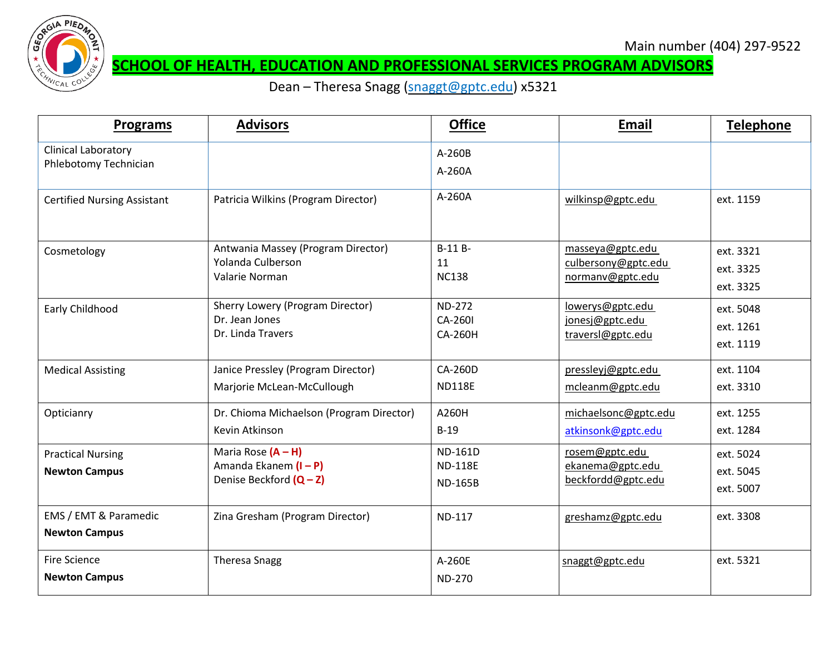

#### **SCHOOL OF HEALTH, EDUCATION AND PROFESSIONAL SERVICES PROGRAM ADVISORS**

Dean - Theresa Snagg [\(snaggt@gptc.edu\)](mailto:snaggt@gptc.edu) x5321

| <b>Programs</b>                                     | <b>Advisors</b>                                                           | <b>Office</b>                                      | Email                                                       | Telephone                           |
|-----------------------------------------------------|---------------------------------------------------------------------------|----------------------------------------------------|-------------------------------------------------------------|-------------------------------------|
| <b>Clinical Laboratory</b><br>Phlebotomy Technician |                                                                           | A-260B<br>A-260A                                   |                                                             |                                     |
| <b>Certified Nursing Assistant</b>                  | Patricia Wilkins (Program Director)                                       | A-260A                                             | wilkinsp@gptc.edu                                           | ext. 1159                           |
| Cosmetology                                         | Antwania Massey (Program Director)<br>Yolanda Culberson<br>Valarie Norman | B-11 B-<br>11<br><b>NC138</b>                      | masseya@gptc.edu<br>culbersony@gptc.edu<br>normanv@gptc.edu | ext. 3321<br>ext. 3325<br>ext. 3325 |
| Early Childhood                                     | Sherry Lowery (Program Director)<br>Dr. Jean Jones<br>Dr. Linda Travers   | <b>ND-272</b><br>CA-260I<br><b>CA-260H</b>         | lowerys@gptc.edu<br>jonesj@gptc.edu<br>traversl@gptc.edu    | ext. 5048<br>ext. 1261<br>ext. 1119 |
| <b>Medical Assisting</b>                            | Janice Pressley (Program Director)<br>Marjorie McLean-McCullough          | CA-260D<br><b>ND118E</b>                           | pressleyj@gptc.edu<br>mcleanm@gptc.edu                      | ext. 1104<br>ext. 3310              |
| Opticianry                                          | Dr. Chioma Michaelson (Program Director)<br>Kevin Atkinson                | A260H<br>$B-19$                                    | michaelsonc@gptc.edu<br>atkinsonk@gptc.edu                  | ext. 1255<br>ext. 1284              |
| <b>Practical Nursing</b><br><b>Newton Campus</b>    | Maria Rose $(A - H)$<br>Amanda Ekanem (I - P)<br>Denise Beckford (Q-Z)    | <b>ND-161D</b><br><b>ND-118E</b><br><b>ND-165B</b> | rosem@gptc.edu<br>ekanema@gptc.edu<br>beckfordd@gptc.edu    | ext. 5024<br>ext. 5045<br>ext. 5007 |
| EMS / EMT & Paramedic<br><b>Newton Campus</b>       | Zina Gresham (Program Director)                                           | <b>ND-117</b>                                      | greshamz@gptc.edu                                           | ext. 3308                           |
| <b>Fire Science</b><br><b>Newton Campus</b>         | <b>Theresa Snagg</b>                                                      | A-260E<br><b>ND-270</b>                            | snaggt@gptc.edu                                             | ext. 5321                           |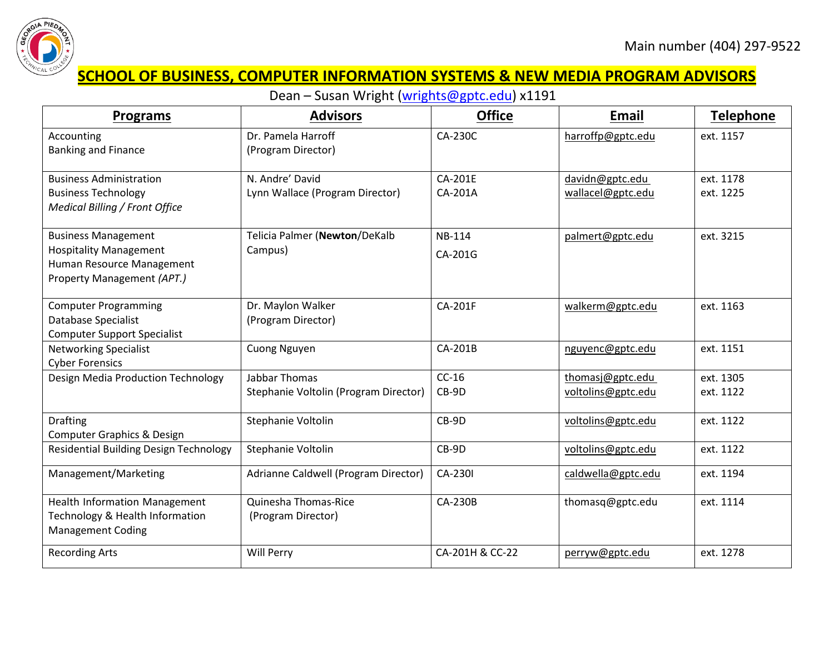

# **SCHOOL OF BUSINESS, COMPUTER INFORMATION SYSTEMS & NEW MEDIA PROGRAM ADVISORS**

Dean – Susan Wright [\(wrights@gptc.edu\)](mailto:wrights@gptc.edu) x1191

| <b>Programs</b>                                                             | <b>Advisors</b>                       | <b>Office</b>   | <b>Email</b>       | <b>Telephone</b> |
|-----------------------------------------------------------------------------|---------------------------------------|-----------------|--------------------|------------------|
| Accounting                                                                  | Dr. Pamela Harroff                    | <b>CA-230C</b>  | harroffp@gptc.edu  | ext. 1157        |
| <b>Banking and Finance</b>                                                  | (Program Director)                    |                 |                    |                  |
| <b>Business Administration</b>                                              | N. Andre' David                       | <b>CA-201E</b>  | davidn@gptc.edu    | ext. 1178        |
| <b>Business Technology</b><br>Medical Billing / Front Office                | Lynn Wallace (Program Director)       | CA-201A         | wallacel@gptc.edu  | ext. 1225        |
|                                                                             |                                       |                 |                    |                  |
| <b>Business Management</b>                                                  | Telicia Palmer (Newton/DeKalb         | <b>NB-114</b>   | palmert@gptc.edu   | ext. 3215        |
| <b>Hospitality Management</b><br>Human Resource Management                  | Campus)                               | CA-201G         |                    |                  |
| Property Management (APT.)                                                  |                                       |                 |                    |                  |
| <b>Computer Programming</b>                                                 | Dr. Maylon Walker                     | CA-201F         | walkerm@gptc.edu   | ext. 1163        |
| Database Specialist<br><b>Computer Support Specialist</b>                   | (Program Director)                    |                 |                    |                  |
| <b>Networking Specialist</b>                                                | <b>Cuong Nguyen</b>                   | CA-201B         | nguyenc@gptc.edu   | ext. 1151        |
| <b>Cyber Forensics</b>                                                      |                                       |                 |                    |                  |
| Design Media Production Technology                                          | <b>Jabbar Thomas</b>                  | $CC-16$         | thomasj@gptc.edu   | ext. 1305        |
|                                                                             | Stephanie Voltolin (Program Director) | CB-9D           | voltolins@gptc.edu | ext. 1122        |
| <b>Drafting</b>                                                             | Stephanie Voltolin                    | CB-9D           | voltolins@gptc.edu | ext. 1122        |
| Computer Graphics & Design<br><b>Residential Building Design Technology</b> |                                       | CB-9D           |                    | ext. 1122        |
|                                                                             | Stephanie Voltolin                    |                 | voltolins@gptc.edu |                  |
| Management/Marketing                                                        | Adrianne Caldwell (Program Director)  | CA-230I         | caldwella@gptc.edu | ext. 1194        |
| Health Information Management                                               | Quinesha Thomas-Rice                  | <b>CA-230B</b>  | thomasq@gptc.edu   | ext. 1114        |
| Technology & Health Information<br><b>Management Coding</b>                 | (Program Director)                    |                 |                    |                  |
| <b>Recording Arts</b>                                                       | Will Perry                            | CA-201H & CC-22 | perryw@gptc.edu    | ext. 1278        |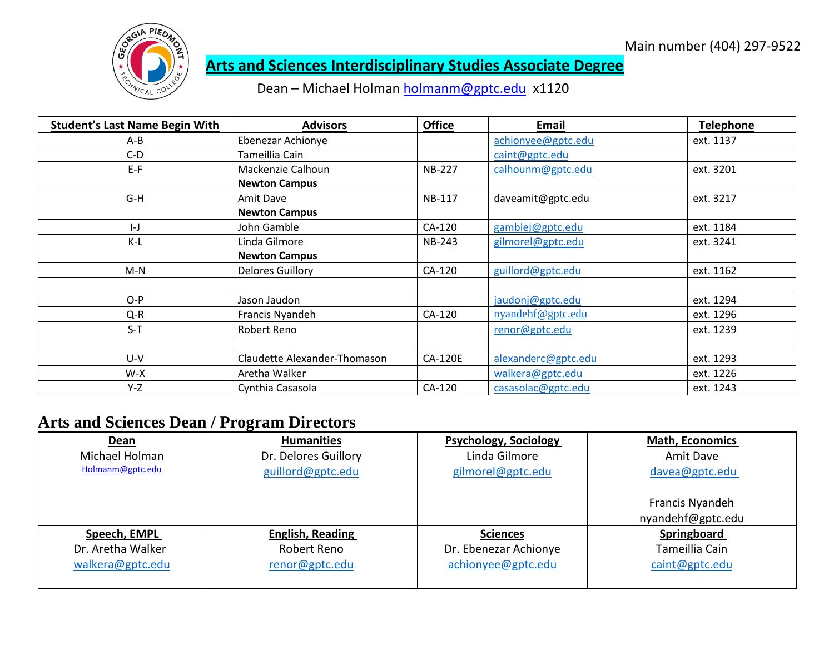

### **Arts and Sciences Interdisciplinary Studies Associate Degree**

Dean – Michael Holman [holmanm@gptc.edu](mailto:holmanm@gptc.edu) x1120

| <b>Student's Last Name Begin With</b> | <b>Advisors</b>              | <b>Office</b>  | Email               | <b>Telephone</b> |
|---------------------------------------|------------------------------|----------------|---------------------|------------------|
| A-B                                   | Ebenezar Achionye            |                | achionyee@gptc.edu  | ext. 1137        |
| $C-D$                                 | Tameillia Cain               |                | caint@gptc.edu      |                  |
| $E-F$                                 | Mackenzie Calhoun            | <b>NB-227</b>  | calhounm@gptc.edu   | ext. 3201        |
|                                       | <b>Newton Campus</b>         |                |                     |                  |
| G-H                                   | Amit Dave                    | <b>NB-117</b>  | daveamit@gptc.edu   | ext. 3217        |
|                                       | <b>Newton Campus</b>         |                |                     |                  |
| $\left  - \right $                    | John Gamble                  | CA-120         | gamblej@gptc.edu    | ext. 1184        |
| $K-L$                                 | Linda Gilmore                | <b>NB-243</b>  | gilmorel@gptc.edu   | ext. 3241        |
|                                       | <b>Newton Campus</b>         |                |                     |                  |
| $M-N$                                 | <b>Delores Guillory</b>      | CA-120         | guillord@gptc.edu   | ext. 1162        |
|                                       |                              |                |                     |                  |
| $O-P$                                 | Jason Jaudon                 |                | jaudonj@gptc.edu    | ext. 1294        |
| Q-R                                   | Francis Nyandeh              | CA-120         | nyandehf@gptc.edu   | ext. 1296        |
| $S-T$                                 | Robert Reno                  |                | renor@gptc.edu      | ext. 1239        |
|                                       |                              |                |                     |                  |
| U-V                                   | Claudette Alexander-Thomason | <b>CA-120E</b> | alexanderc@gptc.edu | ext. 1293        |
| $W-X$                                 | Aretha Walker                |                | walkera@gptc.edu    | ext. 1226        |
| Y-Z                                   | Cynthia Casasola             | CA-120         | casasolac@gptc.edu  | ext. 1243        |

#### **Arts and Sciences Dean / Program Directors**

| Dean              | <b>Humanities</b>       | <b>Psychology, Sociology</b> | <b>Math, Economics</b> |
|-------------------|-------------------------|------------------------------|------------------------|
| Michael Holman    | Dr. Delores Guillory    | Linda Gilmore                | Amit Dave              |
| Holmanm@gptc.edu  | guillord@gptc.edu       | gilmorel@gptc.edu            | davea@gptc.edu         |
|                   |                         |                              | Francis Nyandeh        |
|                   |                         |                              | nyandehf@gptc.edu      |
| Speech, EMPL      | <b>English, Reading</b> | <b>Sciences</b>              | Springboard            |
| Dr. Aretha Walker | Robert Reno             | Dr. Ebenezar Achionye        | Tameillia Cain         |
| walkera@gptc.edu  | renor@gptc.edu          | achionyee@gptc.edu           | caint@gptc.edu         |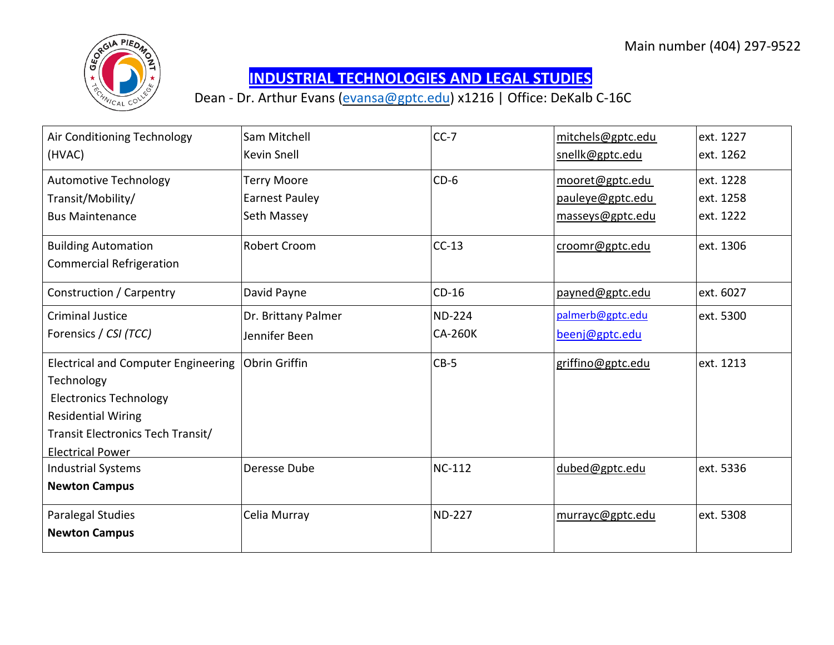

## **INDUSTRIAL TECHNOLOGIES AND LEGAL STUDIES**

Dean - Dr. Arthur Evans [\(evansa@gptc.edu\)](mailto:evansa@gptc.edu) x1216 | Office: DeKalb C-16C

| Air Conditioning Technology                | Sam Mitchell          | $CC-7$         | mitchels@gptc.edu | ext. 1227 |
|--------------------------------------------|-----------------------|----------------|-------------------|-----------|
| (HVAC)                                     | Kevin Snell           |                | snellk@gptc.edu   | ext. 1262 |
| <b>Automotive Technology</b>               | <b>Terry Moore</b>    | $CD-6$         | mooret@gptc.edu   | ext. 1228 |
| Transit/Mobility/                          | <b>Earnest Pauley</b> |                | pauleye@gptc.edu  | ext. 1258 |
| <b>Bus Maintenance</b>                     | Seth Massey           |                | masseys@gptc.edu  | ext. 1222 |
| <b>Building Automation</b>                 | Robert Croom          | $CC-13$        | croomr@gptc.edu   | ext. 1306 |
| <b>Commercial Refrigeration</b>            |                       |                |                   |           |
| Construction / Carpentry                   | David Payne           | $CD-16$        | payned@gptc.edu   | ext. 6027 |
| <b>Criminal Justice</b>                    | Dr. Brittany Palmer   | <b>ND-224</b>  | palmerb@gptc.edu  | ext. 5300 |
| Forensics / CSI (TCC)                      | Jennifer Been         | <b>CA-260K</b> | beenj@gptc.edu    |           |
| <b>Electrical and Computer Engineering</b> | <b>Obrin Griffin</b>  | $CB-5$         | griffino@gptc.edu | ext. 1213 |
| Technology                                 |                       |                |                   |           |
| <b>Electronics Technology</b>              |                       |                |                   |           |
| <b>Residential Wiring</b>                  |                       |                |                   |           |
| Transit Electronics Tech Transit/          |                       |                |                   |           |
| <b>Electrical Power</b>                    |                       |                |                   |           |
| <b>Industrial Systems</b>                  | Deresse Dube          | <b>NC-112</b>  | dubed@gptc.edu    | ext. 5336 |
| <b>Newton Campus</b>                       |                       |                |                   |           |
| Paralegal Studies                          | Celia Murray          | <b>ND-227</b>  | murrayc@gptc.edu  | ext. 5308 |
| <b>Newton Campus</b>                       |                       |                |                   |           |